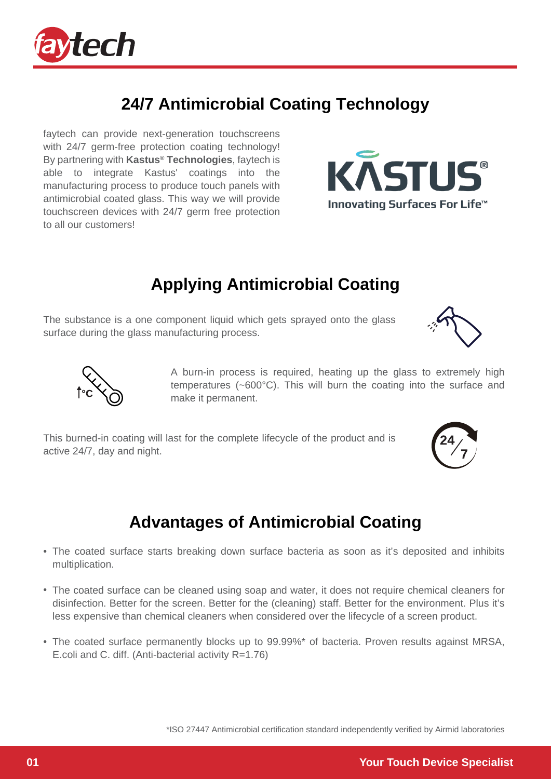

# **24/7 Antimicrobial Coating Technology**

faytech can provide next-generation touchscreens with 24/7 germ-free protection coating technology! By partnering with **Kastus® Technologies**, faytech is able to integrate Kastus' coatings into the manufacturing process to produce touch panels with antimicrobial coated glass. This way we will provide touchscreen devices with 24/7 germ free protection to all our customers!

### **Applying Antimicrobial Coating**

The substance is a one component liquid which gets sprayed onto the glass surface during the glass manufacturing process.

> A burn-in process is required, heating up the glass to extremely high temperatures (~600°C). This will burn the coating into the surface and make it permanent.

This burned-in coating will last for the complete lifecycle of the product and is active 24/7, day and night.

#### **Advantages of Antimicrobial Coating**

- The coated surface starts breaking down surface bacteria as soon as it's deposited and inhibits multiplication.
- The coated surface can be cleaned using soap and water, it does not require chemical cleaners for disinfection. Better for the screen. Better for the (cleaning) staff. Better for the environment. Plus it's less expensive than chemical cleaners when considered over the lifecycle of a screen product.
- The coated surface permanently blocks up to 99.99%\* of bacteria. Proven results against MRSA, E.coli and C. diff. (Anti-bacterial activity R=1.76)